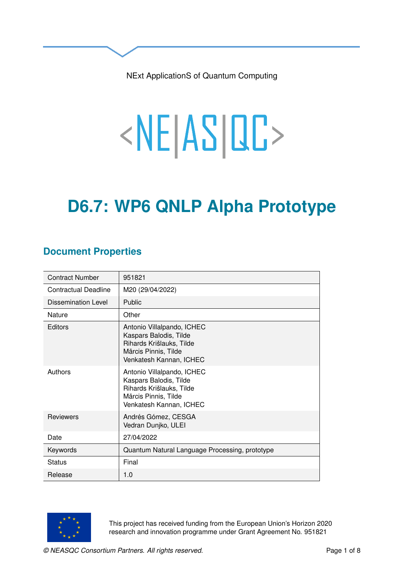NExt ApplicationS of Quantum Computing

# <NE|AS|QC>

# **D6.7: WP6 QNLP Alpha Prototype**

### **Document Properties**

| <b>Contract Number</b>      | 951821                                                                                                                              |
|-----------------------------|-------------------------------------------------------------------------------------------------------------------------------------|
| <b>Contractual Deadline</b> | M20 (29/04/2022)                                                                                                                    |
| <b>Dissemination Level</b>  | <b>Public</b>                                                                                                                       |
| Nature                      | Other                                                                                                                               |
| Editors                     | Antonio Villalpando, ICHEC<br>Kaspars Balodis, Tilde<br>Rihards Krišlauks, Tilde<br>Mārcis Pinnis, Tilde<br>Venkatesh Kannan, ICHEC |
| Authors                     | Antonio Villalpando, ICHEC<br>Kaspars Balodis, Tilde<br>Rihards Krišlauks, Tilde<br>Mārcis Pinnis, Tilde<br>Venkatesh Kannan, ICHEC |
| <b>Reviewers</b>            | Andrés Gómez, CESGA<br>Vedran Dunjko, ULEI                                                                                          |
| Date                        | 27/04/2022                                                                                                                          |
| Keywords                    | Quantum Natural Language Processing, prototype                                                                                      |
| <b>Status</b>               | Final                                                                                                                               |
| Release                     | 1.0                                                                                                                                 |



This project has received funding from the European Union's Horizon 2020 research and innovation programme under Grant Agreement No. 951821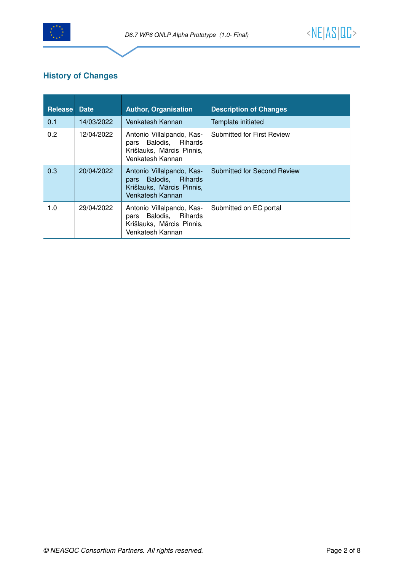

#### **History of Changes**

| <b>Release Date</b> |            | <b>Author, Organisation</b>                                                                         | <b>Description of Changes</b>     |
|---------------------|------------|-----------------------------------------------------------------------------------------------------|-----------------------------------|
| 0.1                 | 14/03/2022 | Venkatesh Kannan                                                                                    | Template initiated                |
| 0.2                 | 12/04/2022 | Antonio Villalpando, Kas-<br>pars Balodis, Rihards<br>Krišlauks, Mārcis Pinnis,<br>Venkatesh Kannan | <b>Submitted for First Review</b> |
| 0.3                 | 20/04/2022 | Antonio Villalpando, Kas-<br>pars Balodis, Rihards<br>Krišlauks, Mārcis Pinnis,<br>Venkatesh Kannan | Submitted for Second Review       |
| 1.0                 | 29/04/2022 | Antonio Villalpando, Kas-<br>pars Balodis, Rihards<br>Krišlauks, Mārcis Pinnis,<br>Venkatesh Kannan | Submitted on EC portal            |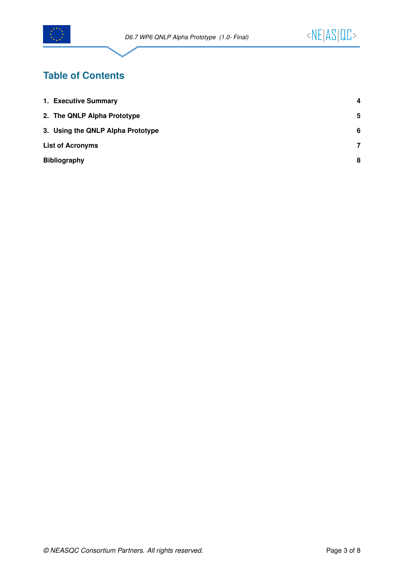

## **Table of Contents**

| 1. Executive Summary              | 4 |
|-----------------------------------|---|
| 2. The QNLP Alpha Prototype       | 5 |
| 3. Using the QNLP Alpha Prototype | 6 |
| <b>List of Acronyms</b>           |   |
| <b>Bibliography</b>               |   |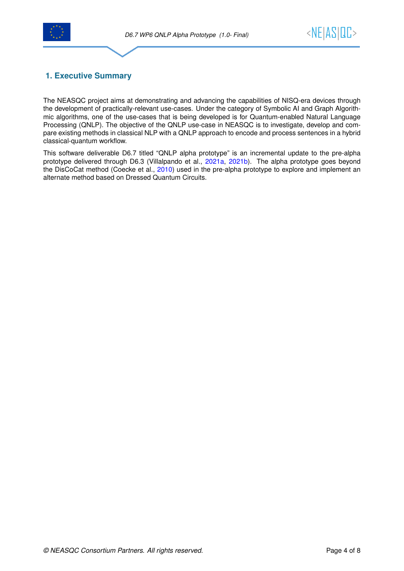



#### <span id="page-3-0"></span>**1. Executive Summary**

The NEASQC project aims at demonstrating and advancing the capabilities of NISQ-era devices through the development of practically-relevant use-cases. Under the category of Symbolic AI and Graph Algorithmic algorithms, one of the use-cases that is being developed is for Quantum-enabled Natural Language Processing (QNLP). The objective of the QNLP use-case in NEASQC is to investigate, develop and compare existing methods in classical NLP with a QNLP approach to encode and process sentences in a hybrid classical-quantum workflow.

This software deliverable D6.7 titled "QNLP alpha prototype" is an incremental update to the pre-alpha prototype delivered through D6.3 (Villalpando et al., [2021a,](#page-7-1) [2021b\)](#page-7-2). The alpha prototype goes beyond the DisCoCat method (Coecke et al., [2010\)](#page-7-3) used in the pre-alpha prototype to explore and implement an alternate method based on Dressed Quantum Circuits.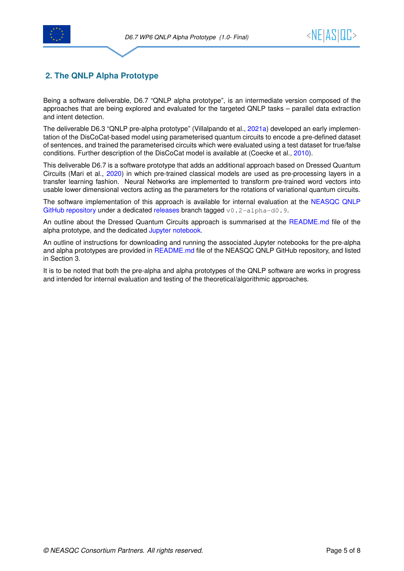



#### <span id="page-4-0"></span>**2. The QNLP Alpha Prototype**

Being a software deliverable, D6.7 "QNLP alpha prototype", is an intermediate version composed of the approaches that are being explored and evaluated for the targeted QNLP tasks – parallel data extraction and intent detection.

The deliverable D6.3 "QNLP pre-alpha prototype" (Villalpando et al., [2021a\)](#page-7-1) developed an early implementation of the DisCoCat-based model using parameterised quantum circuits to encode a pre-defined dataset of sentences, and trained the parameterised circuits which were evaluated using a test dataset for true/false conditions. Further description of the DisCoCat model is available at (Coecke et al., [2010\)](#page-7-3).

This deliverable D6.7 is a software prototype that adds an additional approach based on Dressed Quantum Circuits (Mari et al., [2020\)](#page-7-4) in which pre-trained classical models are used as pre-processing layers in a transfer learning fashion. Neural Networks are implemented to transform pre-trained word vectors into usable lower dimensional vectors acting as the parameters for the rotations of variational quantum circuits.

The software implementation of this approach is available for internal evaluation at the [NEASQC QNLP](https://github.com/NEASQC/WP6_QNLP/tree/v0.2-alpha-d0.9) [GitHub repository](https://github.com/NEASQC/WP6_QNLP/tree/v0.2-alpha-d0.9) under a dedicated [releases](https://github.com/NEASQC/WP6_QNLP/tree/releases) branch tagged  $v0.2$ -alpha-d0.9.

An outline about the Dressed Quantum Circuits approach is summarised at the [README.md](https://github.com/NEASQC/WP6_QNLP/tree/v0.2-alpha-d0.9/my_lib/Alpha/DressedQuantumCircuit#readme) file of the alpha prototype, and the dedicated [Jupyter notebook.](https://github.com/NEASQC/WP6_QNLP/blob/v0.2-alpha-d0.9/my_lib/Alpha/DressedQuantumCircuit/Dressed_QNLP_demo.ipynb)

An outline of instructions for downloading and running the associated Jupyter notebooks for the pre-alpha and alpha prototypes are provided in [README.md](https://github.com/NEASQC/WP6_QNLP/tree/v0.2-alpha-d0.9#readme) file of the NEASQC QNLP GitHub repository, and listed in Section [3.](#page-5-0)

It is to be noted that both the pre-alpha and alpha prototypes of the QNLP software are works in progress and intended for internal evaluation and testing of the theoretical/algorithmic approaches.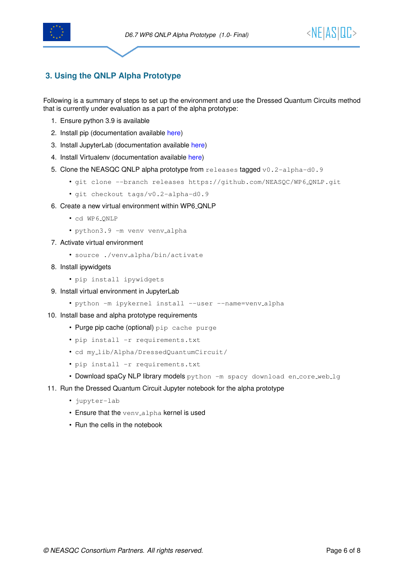



#### <span id="page-5-0"></span>**3. Using the QNLP Alpha Prototype**

Following is a summary of steps to set up the environment and use the Dressed Quantum Circuits method that is currently under evaluation as a part of the alpha prototype:

- 1. Ensure python 3.9 is available
- 2. Install pip (documentation available [here\)](https://pip.pypa.io/en/stable/installation/)
- 3. Install JupyterLab (documentation available [here\)](https://jupyterlab.readthedocs.io/en/stable/getting_started/installation.html)
- 4. Install Virtualenv (documentation available [here\)](https://virtualenv.pypa.io/en/latest/installation.html)
- 5. Clone the NEASQC QNLP alpha prototype from releases tagged  $v0.2$ -alpha-d0.9
	- git clone --branch releases https://github.com/NEASQC/WP6 QNLP.git
	- git checkout tags/v0.2-alpha-d0.9
- 6. Create a new virtual environment within WP6 QNLP
	- cd WP6\_QNLP
	- python3.9 -m venv venv alpha
- 7. Activate virtual environment
	- source ./venv alpha/bin/activate
- 8. Install ipywidgets
	- pip install ipywidgets
- 9. Install virtual environment in JupyterLab
	- python -m ipykernel install --user --name=venv\_alpha
- 10. Install base and alpha prototype requirements
	- Purge pip cache (optional) pip cache purge
	- pip install -r requirements.txt
	- cd my lib/Alpha/DressedQuantumCircuit/
	- pip install -r requirements.txt
	- Download spaCy NLP library models python -m spacy download en\_core\_web\_lg
- <span id="page-5-1"></span>11. Run the Dressed Quantum Circuit Jupyter notebook for the alpha prototype
	- jupyter-lab
	- Ensure that the veny alpha kernel is used
	- Run the cells in the notebook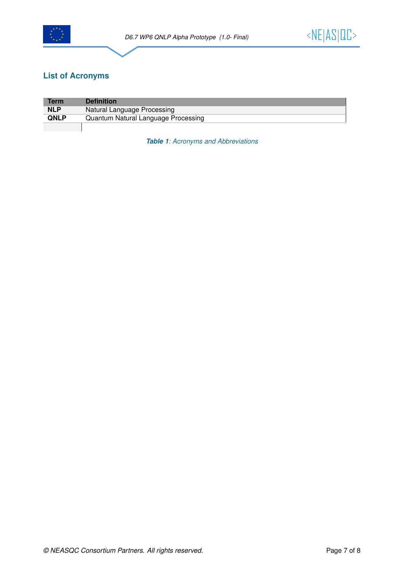

#### **List of Acronyms**

<span id="page-6-0"></span>

| <b>Term</b> | <b>Definition</b>                   |  |
|-------------|-------------------------------------|--|
| <b>NLP</b>  | Natural Language Processing         |  |
| <b>QNLP</b> | Quantum Natural Language Processing |  |
|             |                                     |  |

*Table 1: Acronyms and Abbreviations*